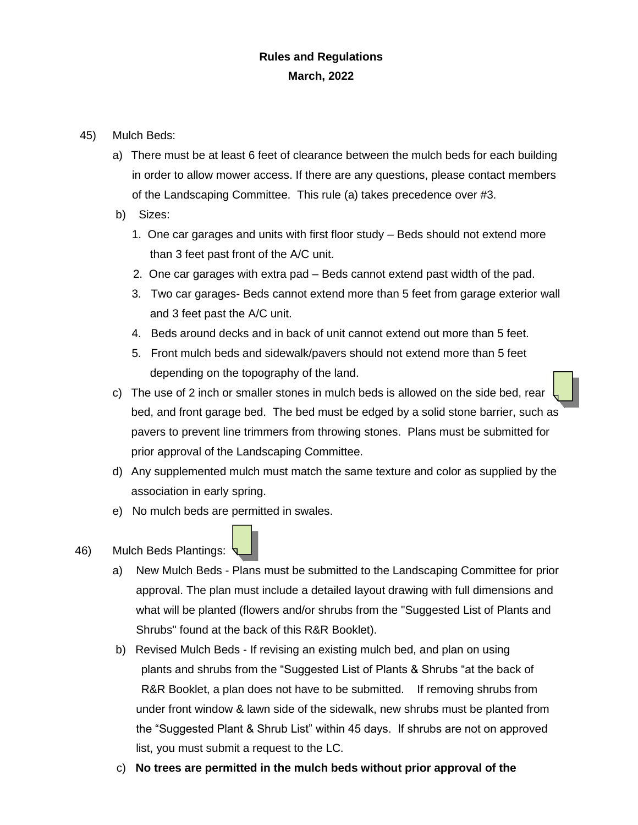## **Rules and Regulations March, 2022**

- 45) Mulch Beds:
	- a) There must be at least 6 feet of clearance between the mulch beds for each building in order to allow mower access. If there are any questions, please contact members of the Landscaping Committee. This rule (a) takes precedence over #3.
	- b) Sizes:
		- 1. One car garages and units with first floor study Beds should not extend more than 3 feet past front of the A/C unit.
		- 2. One car garages with extra pad Beds cannot extend past width of the pad.
		- 3. Two car garages- Beds cannot extend more than 5 feet from garage exterior wall and 3 feet past the A/C unit.
		- 4. Beds around decks and in back of unit cannot extend out more than 5 feet.
		- 5. Front mulch beds and sidewalk/pavers should not extend more than 5 feet depending on the topography of the land.
	- c) The use of 2 inch or smaller stones in mulch beds is allowed on the side bed, rear bed, and front garage bed. The bed must be edged by a solid stone barrier, such as pavers to prevent line trimmers from throwing stones. Plans must be submitted for prior approval of the Landscaping Committee.
	- d) Any supplemented mulch must match the same texture and color as supplied by the association in early spring.
	- e) No mulch beds are permitted in swales.
- 46) Mulch Beds Plantings:
	- a) New Mulch Beds Plans must be submitted to the Landscaping Committee for prior approval. The plan must include a detailed layout drawing with full dimensions and what will be planted (flowers and/or shrubs from the "Suggested List of Plants and Shrubs" found at the back of this R&R Booklet).
	- b) Revised Mulch Beds If revising an existing mulch bed, and plan on using plants and shrubs from the "Suggested List of Plants & Shrubs "at the back of R&R Booklet, a plan does not have to be submitted. If removing shrubs from under front window & lawn side of the sidewalk, new shrubs must be planted from the "Suggested Plant & Shrub List" within 45 days. If shrubs are not on approved list, you must submit a request to the LC.
	- c) **No trees are permitted in the mulch beds without prior approval of the**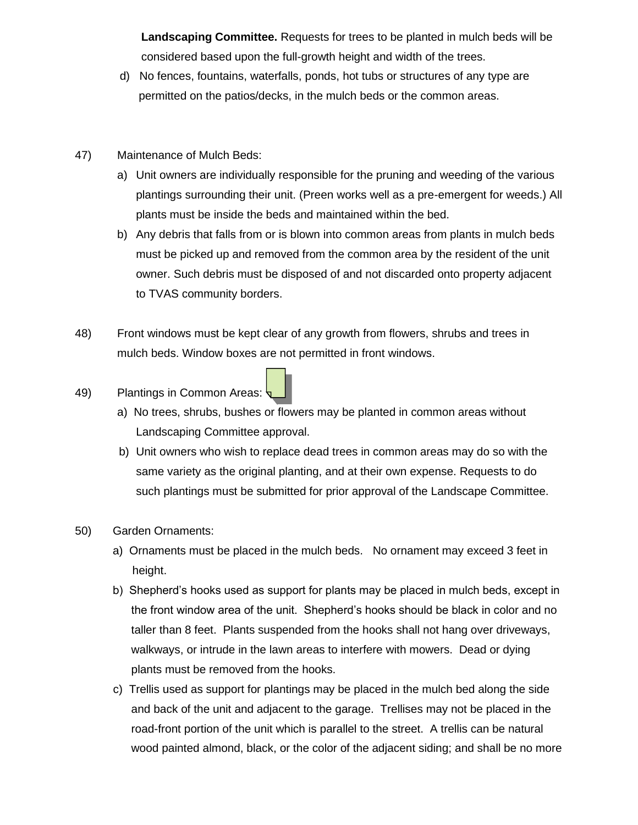**Landscaping Committee.** Requests for trees to be planted in mulch beds will be considered based upon the full-growth height and width of the trees.

- d) No fences, fountains, waterfalls, ponds, hot tubs or structures of any type are permitted on the patios/decks, in the mulch beds or the common areas.
- 47) Maintenance of Mulch Beds:
	- a) Unit owners are individually responsible for the pruning and weeding of the various plantings surrounding their unit. (Preen works well as a pre-emergent for weeds.) All plants must be inside the beds and maintained within the bed.
	- b) Any debris that falls from or is blown into common areas from plants in mulch beds must be picked up and removed from the common area by the resident of the unit owner. Such debris must be disposed of and not discarded onto property adjacent to TVAS community borders.
- 48) Front windows must be kept clear of any growth from flowers, shrubs and trees in mulch beds. Window boxes are not permitted in front windows.
- 49) Plantings in Common Areas:
	- a) No trees, shrubs, bushes or flowers may be planted in common areas without Landscaping Committee approval.
	- b) Unit owners who wish to replace dead trees in common areas may do so with the same variety as the original planting, and at their own expense. Requests to do such plantings must be submitted for prior approval of the Landscape Committee.
- 50) Garden Ornaments:
	- a) Ornaments must be placed in the mulch beds. No ornament may exceed 3 feet in height.
	- b) Shepherd's hooks used as support for plants may be placed in mulch beds, except in the front window area of the unit. Shepherd's hooks should be black in color and no taller than 8 feet. Plants suspended from the hooks shall not hang over driveways, walkways, or intrude in the lawn areas to interfere with mowers. Dead or dying plants must be removed from the hooks.
	- c) Trellis used as support for plantings may be placed in the mulch bed along the side and back of the unit and adjacent to the garage. Trellises may not be placed in the road-front portion of the unit which is parallel to the street. A trellis can be natural wood painted almond, black, or the color of the adjacent siding; and shall be no more